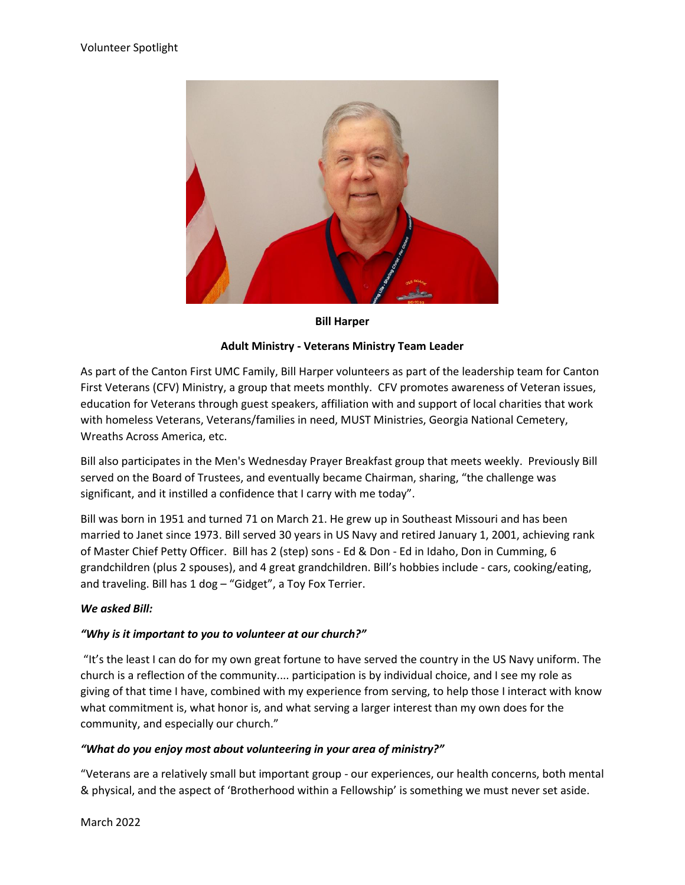

#### **Bill Harper**

#### **Adult Ministry - Veterans Ministry Team Leader**

As part of the Canton First UMC Family, Bill Harper volunteers as part of the leadership team for Canton First Veterans (CFV) Ministry, a group that meets monthly. CFV promotes awareness of Veteran issues, education for Veterans through guest speakers, affiliation with and support of local charities that work with homeless Veterans, Veterans/families in need, MUST Ministries, Georgia National Cemetery, Wreaths Across America, etc.

Bill also participates in the Men's Wednesday Prayer Breakfast group that meets weekly. Previously Bill served on the Board of Trustees, and eventually became Chairman, sharing, "the challenge was significant, and it instilled a confidence that I carry with me today".

Bill was born in 1951 and turned 71 on March 21. He grew up in Southeast Missouri and has been married to Janet since 1973. Bill served 30 years in US Navy and retired January 1, 2001, achieving rank of Master Chief Petty Officer. Bill has 2 (step) sons - Ed & Don - Ed in Idaho, Don in Cumming, 6 grandchildren (plus 2 spouses), and 4 great grandchildren. Bill's hobbies include - cars, cooking/eating, and traveling. Bill has 1 dog – "Gidget", a Toy Fox Terrier.

## *We asked Bill:*

## *"Why is it important to you to volunteer at our church?"*

"It's the least I can do for my own great fortune to have served the country in the US Navy uniform. The church is a reflection of the community.... participation is by individual choice, and I see my role as giving of that time I have, combined with my experience from serving, to help those I interact with know what commitment is, what honor is, and what serving a larger interest than my own does for the community, and especially our church."

## *"What do you enjoy most about volunteering in your area of ministry?"*

"Veterans are a relatively small but important group - our experiences, our health concerns, both mental & physical, and the aspect of 'Brotherhood within a Fellowship' is something we must never set aside.

March 2022